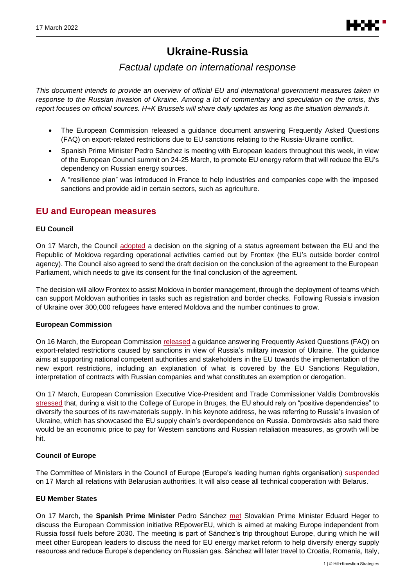# **Ukraine-Russia**

# *Factual update on international response*

*This document intends to provide an overview of official EU and international government measures taken in response to the Russian invasion of Ukraine. Among a lot of commentary and speculation on the crisis, this report focuses on official sources. H+K Brussels will share daily updates as long as the situation demands it.*

- The European Commission released a guidance document answering Frequently Asked Questions (FAQ) on export-related restrictions due to EU sanctions relating to the Russia-Ukraine conflict.
- Spanish Prime Minister Pedro Sánchez is meeting with European leaders throughout this week, in view of the European Council summit on 24-25 March, to promote EU energy reform that will reduce the EU's dependency on Russian energy sources.
- A "resilience plan" was introduced in France to help industries and companies cope with the imposed sanctions and provide aid in certain sectors, such as agriculture.

# **EU and European measures**

## **EU Council**

On 17 March, the Council [adopted](https://www.consilium.europa.eu/en/press/press-releases/2022/03/17/moldova-council-adopts-decision-to-sign-agreement-for-frontex-operational-support-in-light-of-russia-s-invasion-of-ukraine/) a decision on the signing of a status agreement between the EU and the Republic of Moldova regarding operational activities carried out by Frontex (the EU's outside border control agency). The Council also agreed to send the draft decision on the conclusion of the agreement to the European Parliament, which needs to give its consent for the final conclusion of the agreement.

The decision will allow Frontex to assist Moldova in border management, through the deployment of teams which can support Moldovan authorities in tasks such as registration and border checks. Following Russia's invasion of Ukraine over 300,000 refugees have entered Moldova and the number continues to grow.

## **European Commission**

On 16 March, the European Commission [released](https://ec.europa.eu/info/sites/default/files/business_economy_euro/banking_and_finance/documents/220316-faqs-export-related-restrictions-russia_en.pdf#page11) a guidance answering Frequently Asked Questions (FAQ) on export-related restrictions caused by sanctions in view of Russia's military invasion of Ukraine. The guidance aims at supporting national competent authorities and stakeholders in the EU towards the implementation of the new export restrictions, including an explanation of what is covered by the EU Sanctions Regulation, interpretation of contracts with Russian companies and what constitutes an exemption or derogation.

On 17 March, European Commission Executive Vice-President and Trade Commissioner Valdis Dombrovskis [stressed](https://ec.europa.eu/commission/commissioners/2019-2024/dombrovskis/announcements/keynote-address-executive-vice-president-valdis-dombrovskis-college-europe-bruges_en) that, during a visit to the College of Europe in Bruges, the EU should rely on "positive dependencies" to diversify the sources of its raw-materials supply. In his keynote address, he was referring to Russia's invasion of Ukraine, which has showcased the EU supply chain's overdependence on Russia. Dombrovskis also said there would be an economic price to pay for Western sanctions and Russian retaliation measures, as growth will be hit.

## **Council of Europe**

The Committee of Ministers in the Council of Europe (Europe's leading human rights organisation) [suspended](https://search.coe.int/cm/pages/result_details.aspx?objectid=0900001680a5dcfb) on 17 March all relations with Belarusian authorities. It will also cease all technical cooperation with Belarus.

## **EU Member States**

On 17 March, the **Spanish Prime Minister** Pedro Sánchez [met](https://www.lamoncloa.gob.es/presidente/actividades/Paginas/2022/160322-sanchezeslovaquia.aspx) Slovakian Prime Minister Eduard Heger to discuss the European Commission initiative REpowerEU, which is aimed at making Europe independent from Russia fossil fuels before 2030. The meeting is part of Sánchez's trip throughout Europe, during which he will meet other European leaders to discuss the need for EU energy market reform to help diversify energy supply resources and reduce Europe's dependency on Russian gas. Sánchez will later travel to Croatia, Romania, Italy,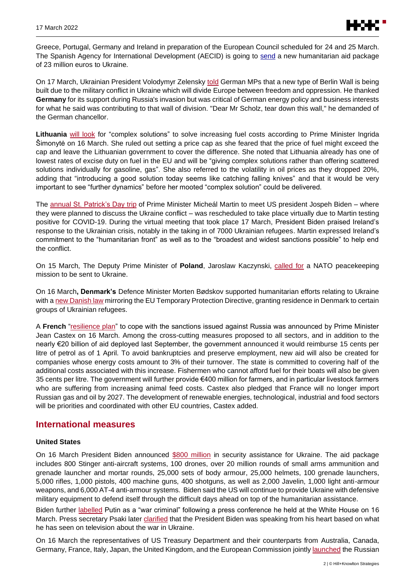

Greece, Portugal, Germany and Ireland in preparation of the European Council scheduled for 24 and 25 March. The Spanish Agency for International Development (AECID) is going to [send](https://www.lamoncloa.gob.es/presidente/actividades/Paginas/2022/160322-sanchez-croata.aspx) a new humanitarian aid package of 23 million euros to Ukraine.

On 17 March, Ukrainian President Volodymyr Zelensky [told](https://www.youtube.com/watch?v=XyNN6dQRS1g) German MPs that a new type of Berlin Wall is being built due to the military conflict in Ukraine which will divide Europe between freedom and oppression. He thanked **Germany** for its support during Russia's invasion but was critical of German energy policy and business interests for what he said was contributing to that wall of division. "Dear Mr Scholz, tear down this wall," he demanded of the German chancellor.

**Lithuania** [will look](https://youtu.be/-VjVXkmt1hk) for "complex solutions" to solve increasing fuel costs according to Prime Minister Ingrida Šimonytė on 16 March. She ruled out setting a price cap as she feared that the price of fuel might exceed the cap and leave the Lithuanian government to cover the difference. She noted that Lithuania already has one of lowest rates of excise duty on fuel in the EU and will be "giving complex solutions rather than offering scattered solutions individually for gasoline, gas". She also referred to the volatility in oil prices as they dropped 20%, adding that "introducing a good solution today seems like catching falling knives" and that it would be very important to see "further dynamics" before her mooted "complex solution" could be delivered.

The [annual St. Patrick's Day](https://www.youtube.com/watch?v=OBNYvnVX_Fs) trip of Prime Minister Micheál Martin to meet US president Jospeh Biden – where they were planned to discuss the Ukraine conflict – was rescheduled to take place virtually due to Martin testing positive for COVID-19. During the virtual meeting that took place 17 March, President Biden praised Ireland's response to the Ukrainian crisis, notably in the taking in of 7000 Ukrainian refugees. Martin expressed Ireland's commitment to the "humanitarian front" as well as to the "broadest and widest sanctions possible" to help end the conflict.

On 15 March, The Deputy Prime Minister of **Poland**, Jaroslaw Kaczynski, [called for](https://www.youtube.com/watch?v=L2KIHaPi5hA) a NATO peacekeeping mission to be sent to Ukraine.

On 16 March**, Denmark's** Defence Minister Morten Bødskov supported humanitarian efforts relating to Ukraine with [a new Danish law](https://ec.europa.eu/migrant-integration/news/new-danish-law-ukrainians-mirrors-eu-temporary-protection-directive_en) mirroring the EU Temporary Protection Directive, granting residence in Denmark to certain groups of Ukrainian refugees.

A **French** ["resilience plan"](https://www.gouvernement.fr/partage/12743-discours-du-premier-ministre-jean-castex-plan-de-resilience-economique-et-sociale) to cope with the sanctions issued against Russia was announced by Prime Minister Jean Castex on 16 March. Among the cross-cutting measures proposed to all sectors, and in addition to the nearly €20 billion of aid deployed last September, the government announced it would reimburse 15 cents per litre of petrol as of 1 April. To avoid bankruptcies and preserve employment, new aid will also be created for companies whose energy costs amount to 3% of their turnover. The state is committed to covering half of the additional costs associated with this increase. Fishermen who cannot afford fuel for their boats will also be given 35 cents per litre. The government will further provide €400 million for farmers, and in particular livestock farmers who are suffering from increasing animal feed costs. Castex also pledged that France will no longer import Russian gas and oil by 2027. The development of renewable energies, technological, industrial and food sectors will be priorities and coordinated with other EU countries, Castex added.

# **International measures**

#### **United States**

On 16 March President Biden announced [\\$800 million](https://www.whitehouse.gov/briefing-room/speeches-remarks/2022/03/16/remarks-by-president-biden-on-the-assistance-the-united-states-is-providing-to-ukraine/) in security assistance for Ukraine. The aid package includes 800 Stinger anti-aircraft systems, 100 drones, over 20 million rounds of small arms ammunition and grenade launcher and mortar rounds, 25,000 sets of body armour, 25,000 helmets, 100 grenade launchers, 5,000 rifles, 1,000 pistols, 400 machine guns, 400 shotguns, as well as 2,000 Javelin, 1,000 light anti-armour weapons, and 6,000 AT-4 anti-armour systems. Biden said the US will continue to provide Ukraine with defensive military equipment to defend itself through the difficult days ahead on top of the humanitarian assistance.

Biden further [labelled](https://www.youtube.com/watch?v=ntiTVbF_vXs) Putin as a "war criminal" following a press conference he held at the White House on 16 March. Press secretary Psaki later [clarified](https://www.whitehouse.gov/briefing-room/press-briefings/2022/03/16/press-briefing-by-press-secretary-jen-psaki-march-16-2022/) that the President Biden was speaking from his heart based on what he has seen on television about the war in Ukraine.

On 16 March the representatives of US Treasury Department and their counterparts from Australia, Canada, Germany, France, Italy, Japan, the United Kingdom, and the European Commission jointl[y launched](https://home.treasury.gov/news/press-releases/jy0659) the Russian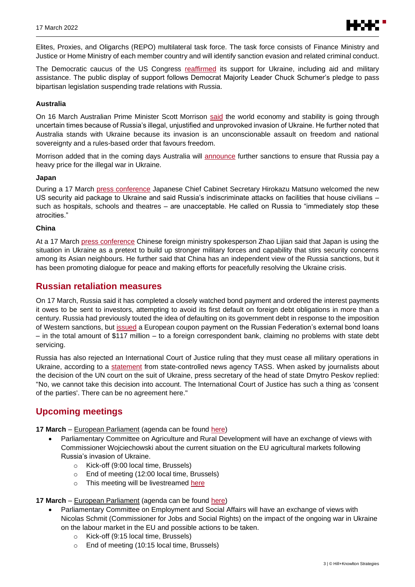

Elites, Proxies, and Oligarchs (REPO) multilateral task force. The task force consists of Finance Ministry and Justice or Home Ministry of each member country and will identify sanction evasion and related criminal conduct.

The Democratic caucus of the US Congress [reaffirmed](https://www.c-span.org/video/?518739-1/house-democratic-leadership-news-conference) its support for Ukraine, including aid and military assistance. The public display of support follows Democrat Majority Leader Chuck Schumer's pledge to pass bipartisan legislation suspending trade relations with Russia.

### **Australia**

On 16 March Australian Prime Minister Scott Morrison [said](https://www.pm.gov.au/media/address-chamber-commerce-and-industry-wa) the world economy and stability is going through uncertain times because of Russia's illegal, unjustified and unprovoked invasion of Ukraine. He further noted that Australia stands with Ukraine because its invasion is an unconscionable assault on freedom and national sovereignty and a rules-based order that favours freedom.

Morrison added that in the coming days Australia will [announce](https://www.pm.gov.au/media/press-conference-victoria-park-wa) further sanctions to ensure that Russia pay a heavy price for the illegal war in Ukraine.

#### **Japan**

During a 17 March [press conference](https://japan.kantei.go.jp/tyoukanpress/202203/17_p.html) Japanese Chief Cabinet Secretary Hirokazu Matsuno welcomed the new US security aid package to Ukraine and said Russia's indiscriminate attacks on facilities that house civilians – such as hospitals, schools and theatres – are unacceptable. He called on Russia to "immediately stop these atrocities."

#### **China**

At a 17 March [press conference](https://www.fmprc.gov.cn/mfa_eng/xwfw_665399/s2510_665401/202203/t20220317_10652759.html) Chinese foreign ministry spokesperson Zhao Lijian said that Japan is using the situation in Ukraine as a pretext to build up stronger military forces and capability that stirs security concerns among its Asian neighbours. He further said that China has an independent view of the Russia sanctions, but it has been promoting dialogue for peace and making efforts for peacefully resolving the Ukraine crisis.

# **Russian retaliation measures**

On 17 March, Russia said it has completed a closely watched bond payment and ordered the interest payments it owes to be sent to investors, attempting to avoid its first default on foreign debt obligations in more than a century. Russia had previously touted the idea of defaulting on its government debt in response to the imposition of Western sanctions, but [issued](https://tass.com/economy/1423771) a European coupon payment on the Russian Federation's external bond loans – in the total amount of \$117 million – to a foreign correspondent bank, claiming no problems with state debt servicing.

Russia has also rejected an International Court of Justice ruling that they must cease all military operations in Ukraine, according to a [statement](https://tass.ru/politika/14101445?utm_source=euractiv.com&utm_medium=referral&utm_campaign=euractiv.com&utm_referrer=euractiv.com) from state-controlled news agency TASS. When asked by journalists about the decision of the UN court on the suit of Ukraine, press secretary of the head of state Dmytro Peskov replied: "No, we cannot take this decision into account. The International Court of Justice has such a thing as 'consent of the parties'. There can be no agreement here."

# **Upcoming meetings**

**17 March** – European Parliament (agenda can be found [here\)](https://www.europarl.europa.eu/meetdocs/2014_2019/plmrep/COMMITTEES/AGRI/OJ/2022/03-16/1251507EN.pdf)

- Parliamentary Committee on Agriculture and Rural Development will have an exchange of views with Commissioner Wojciechowski about the current situation on the EU agricultural markets following Russia's invasion of Ukraine.
	- o Kick-off (9:00 local time, Brussels)
	- o End of meeting (12:00 local time, Brussels)
	- o This meeting will be livestreamed [here](https://multimedia.europarl.europa.eu/en/webstreaming?d=20220317&lv=COMMITTEES)

#### **17 March** – European Parliament (agenda can be found [here\)](https://emeeting.europarl.europa.eu/emeeting/committee/en/agenda/202203/EMPL?meeting=CJ21-2022-0317_1&session=03-17-09-00)

- Parliamentary Committee on Employment and Social Affairs will have an exchange of views with Nicolas Schmit (Commissioner for Jobs and Social Rights) on the impact of the ongoing war in Ukraine on the labour market in the EU and possible actions to be taken.
	- o Kick-off (9:15 local time, Brussels)
	- o End of meeting (10:15 local time, Brussels)